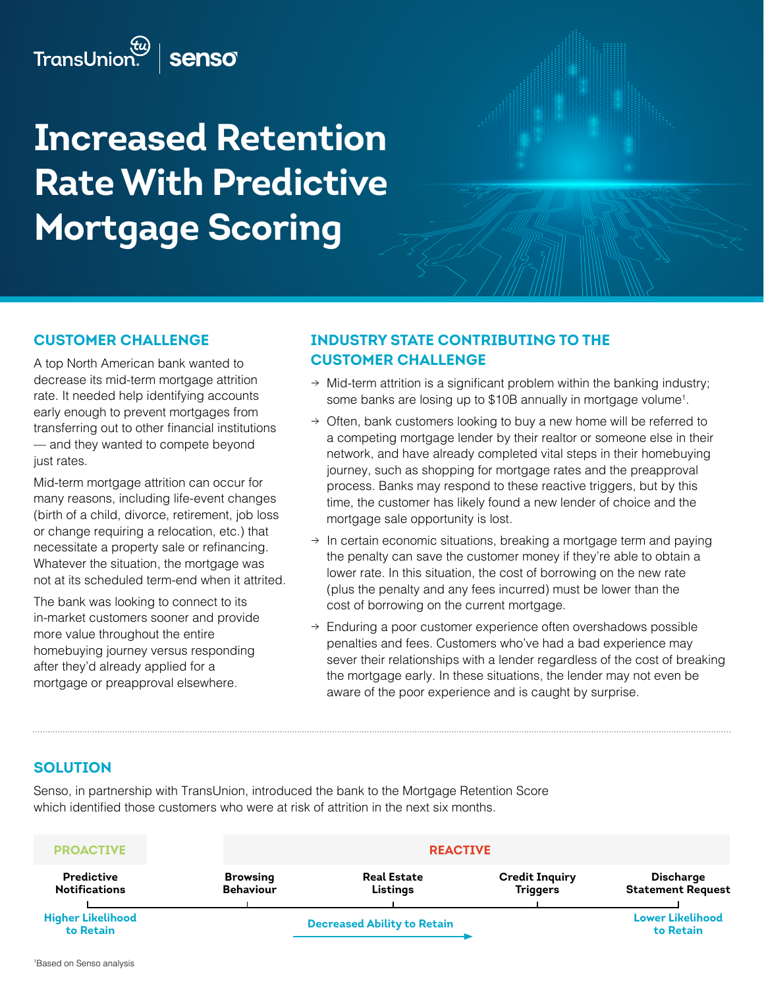# **Increased Retention Rate With Predictive Mortgage Scoring**

## **Customer challenge**

A top North American bank wanted to decrease its mid-term mortgage attrition rate. It needed help identifying accounts early enough to prevent mortgages from transferring out to other financial institutions — and they wanted to compete beyond just rates.

Mid-term mortgage attrition can occur for many reasons, including life-event changes (birth of a child, divorce, retirement, job loss or change requiring a relocation, etc.) that necessitate a property sale or refinancing. Whatever the situation, the mortgage was not at its scheduled term-end when it attrited.

The bank was looking to connect to its in-market customers sooner and provide more value throughout the entire homebuying journey versus responding after they'd already applied for a mortgage or preapproval elsewhere.

# **Industry state contributing to the customer challenge**

- $\rightarrow$  Mid-term attrition is a significant problem within the banking industry; some banks are losing up to \$10B annually in mortgage volume<sup>1</sup>.
- $\rightarrow$  Often, bank customers looking to buy a new home will be referred to a competing mortgage lender by their realtor or someone else in their network, and have already completed vital steps in their homebuying journey, such as shopping for mortgage rates and the preapproval process. Banks may respond to these reactive triggers, but by this time, the customer has likely found a new lender of choice and the mortgage sale opportunity is lost.
- $\rightarrow$  In certain economic situations, breaking a mortgage term and paying the penalty can save the customer money if they're able to obtain a lower rate. In this situation, the cost of borrowing on the new rate (plus the penalty and any fees incurred) must be lower than the cost of borrowing on the current mortgage.
- $\rightarrow$  Enduring a poor customer experience often overshadows possible penalties and fees. Customers who've had a bad experience may sever their relationships with a lender regardless of the cost of breaking the mortgage early. In these situations, the lender may not even be aware of the poor experience and is caught by surprise.

# **Solution**

Senso, in partnership with TransUnion, introduced the bank to the Mortgage Retention Score which identified those customers who were at risk of attrition in the next six months.

| <b>PROACTIVE</b>                          |                                     | <b>REACTIVE</b>                    |                                          |                                              |  |
|-------------------------------------------|-------------------------------------|------------------------------------|------------------------------------------|----------------------------------------------|--|
| <b>Predictive</b><br><b>Notifications</b> | <b>Browsing</b><br><b>Behaviour</b> | <b>Real Estate</b><br>Listings     | <b>Credit Inquiry</b><br><b>Triggers</b> | <b>Discharge</b><br><b>Statement Request</b> |  |
| <b>Higher Likelihood</b><br>to Retain     |                                     | <b>Decreased Ability to Retain</b> |                                          |                                              |  |